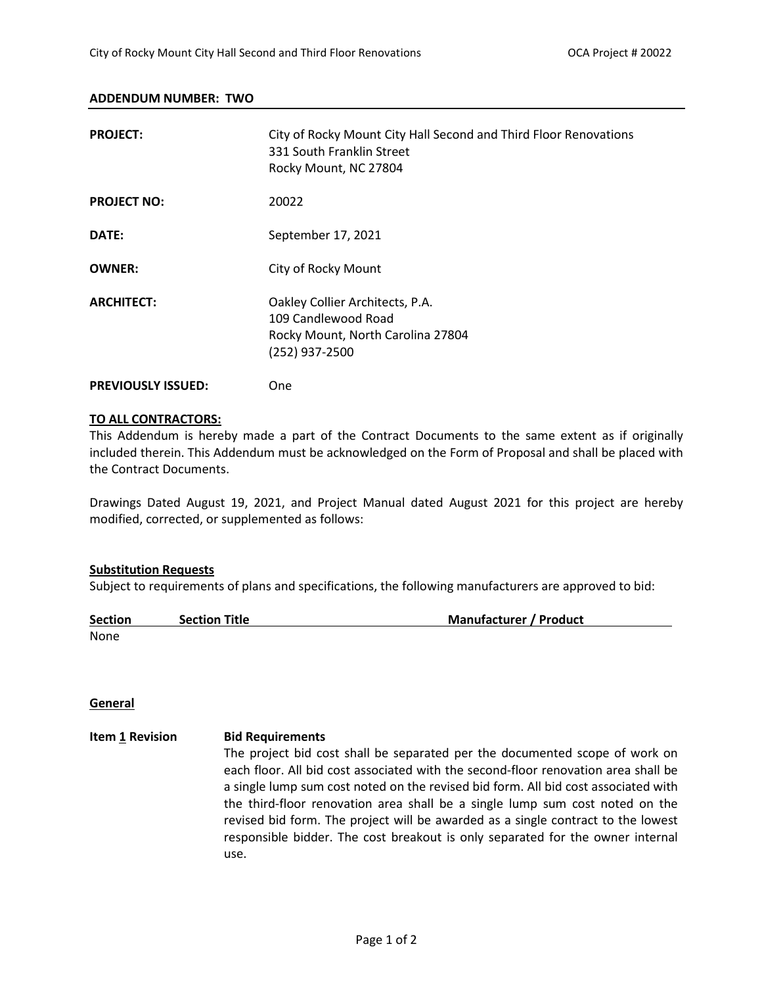### **ADDENDUM NUMBER: TWO**

| <b>PROJECT:</b>           | City of Rocky Mount City Hall Second and Third Floor Renovations<br>331 South Franklin Street<br>Rocky Mount, NC 27804 |
|---------------------------|------------------------------------------------------------------------------------------------------------------------|
| <b>PROJECT NO:</b>        | 20022                                                                                                                  |
| DATE:                     | September 17, 2021                                                                                                     |
| <b>OWNER:</b>             | City of Rocky Mount                                                                                                    |
| <b>ARCHITECT:</b>         | Oakley Collier Architects, P.A.<br>109 Candlewood Road<br>Rocky Mount, North Carolina 27804<br>(252) 937-2500          |
| <b>PREVIOUSLY ISSUED:</b> | One                                                                                                                    |

### **TO ALL CONTRACTORS:**

This Addendum is hereby made a part of the Contract Documents to the same extent as if originally included therein. This Addendum must be acknowledged on the Form of Proposal and shall be placed with the Contract Documents.

Drawings Dated August 19, 2021, and Project Manual dated August 2021 for this project are hereby modified, corrected, or supplemented as follows:

#### **Substitution Requests**

Subject to requirements of plans and specifications, the following manufacturers are approved to bid:

| <b>Section</b> | <b>Section Title</b> | <b>Manufacturer / Product</b> |
|----------------|----------------------|-------------------------------|
| None           |                      |                               |

### **General**

**Item 1 Revision Bid Requirements** The project bid cost shall be separated per the documented scope of work on each floor. All bid cost associated with the second-floor renovation area shall be a single lump sum cost noted on the revised bid form. All bid cost associated with the third-floor renovation area shall be a single lump sum cost noted on the revised bid form. The project will be awarded as a single contract to the lowest responsible bidder. The cost breakout is only separated for the owner internal use.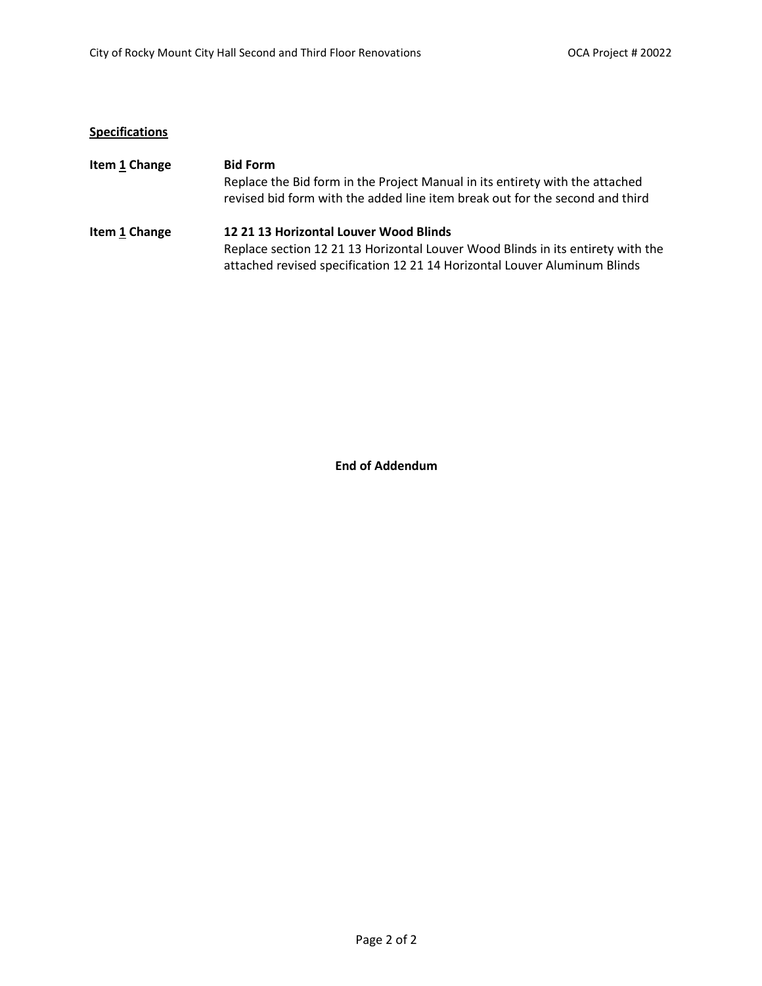# **Specifications**

| Item 1 Change | <b>Bid Form</b>                                                                                                                                              |  |  |
|---------------|--------------------------------------------------------------------------------------------------------------------------------------------------------------|--|--|
|               | Replace the Bid form in the Project Manual in its entirety with the attached<br>revised bid form with the added line item break out for the second and third |  |  |
| Item 1 Change | 12 21 13 Horizontal Louver Wood Blinds                                                                                                                       |  |  |
|               | Replace section 12 21 13 Horizontal Louver Wood Blinds in its entirety with the                                                                              |  |  |
|               | attached revised specification 12 21 14 Horizontal Louver Aluminum Blinds                                                                                    |  |  |

**End of Addendum**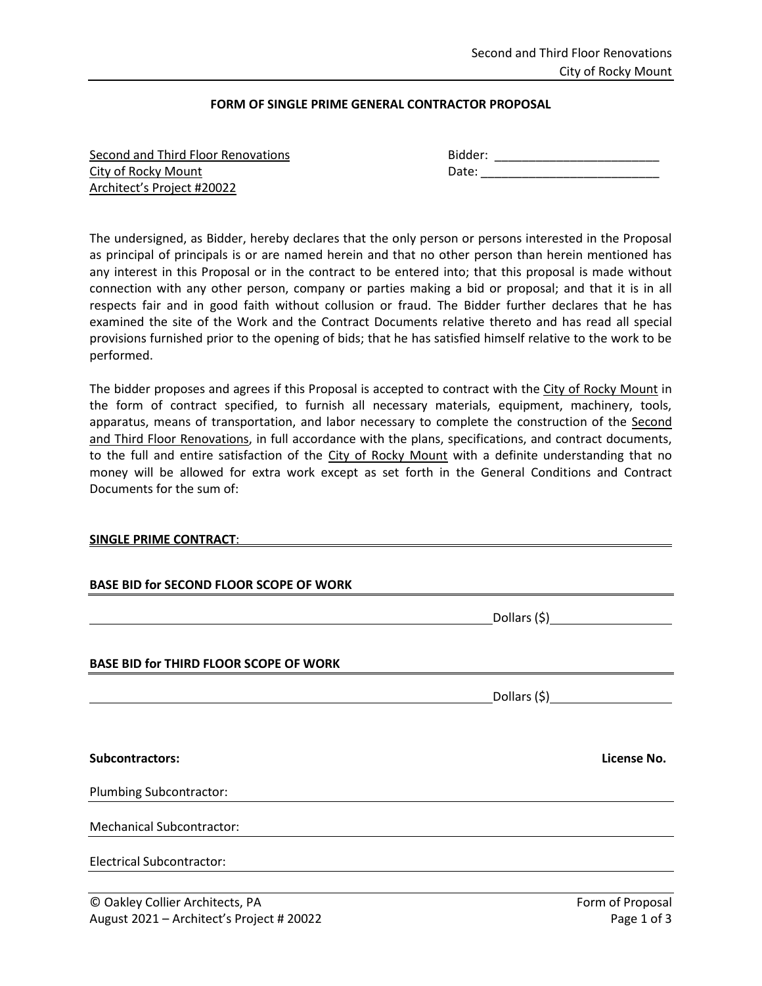## **FORM OF SINGLE PRIME GENERAL CONTRACTOR PROPOSAL**

| Second and Third Floor Renovations |  |
|------------------------------------|--|
| City of Rocky Mount                |  |
| Architect's Project #20022         |  |

Second and Third Floor Renovations Bidder: \_\_\_\_\_\_\_\_\_\_\_\_\_\_\_\_\_\_\_\_\_\_\_\_ City of Rocky Mount Date: \_\_\_\_\_\_\_\_\_\_\_\_\_\_\_\_\_\_\_\_\_\_\_\_\_\_

The undersigned, as Bidder, hereby declares that the only person or persons interested in the Proposal as principal of principals is or are named herein and that no other person than herein mentioned has any interest in this Proposal or in the contract to be entered into; that this proposal is made without connection with any other person, company or parties making a bid or proposal; and that it is in all respects fair and in good faith without collusion or fraud. The Bidder further declares that he has examined the site of the Work and the Contract Documents relative thereto and has read all special provisions furnished prior to the opening of bids; that he has satisfied himself relative to the work to be performed.

The bidder proposes and agrees if this Proposal is accepted to contract with the City of Rocky Mount in the form of contract specified, to furnish all necessary materials, equipment, machinery, tools, apparatus, means of transportation, and labor necessary to complete the construction of the Second and Third Floor Renovations, in full accordance with the plans, specifications, and contract documents, to the full and entire satisfaction of the City of Rocky Mount with a definite understanding that no money will be allowed for extra work except as set forth in the General Conditions and Contract Documents for the sum of:

### **SINGLE PRIME CONTRACT**:

| <b>BASE BID for SECOND FLOOR SCOPE OF WORK</b> |                                  |
|------------------------------------------------|----------------------------------|
|                                                | _Dollars (\$)___________________ |
| <b>BASE BID for THIRD FLOOR SCOPE OF WORK</b>  |                                  |
|                                                |                                  |
|                                                |                                  |
| <b>Subcontractors:</b>                         | License No.                      |
| Plumbing Subcontractor:                        |                                  |
| <b>Mechanical Subcontractor:</b>               |                                  |
| <b>Electrical Subcontractor:</b>               |                                  |
| © Oakley Collier Architects, PA                | Form of Proposal                 |
| August 2021 - Architect's Project # 20022      | Page 1 of 3                      |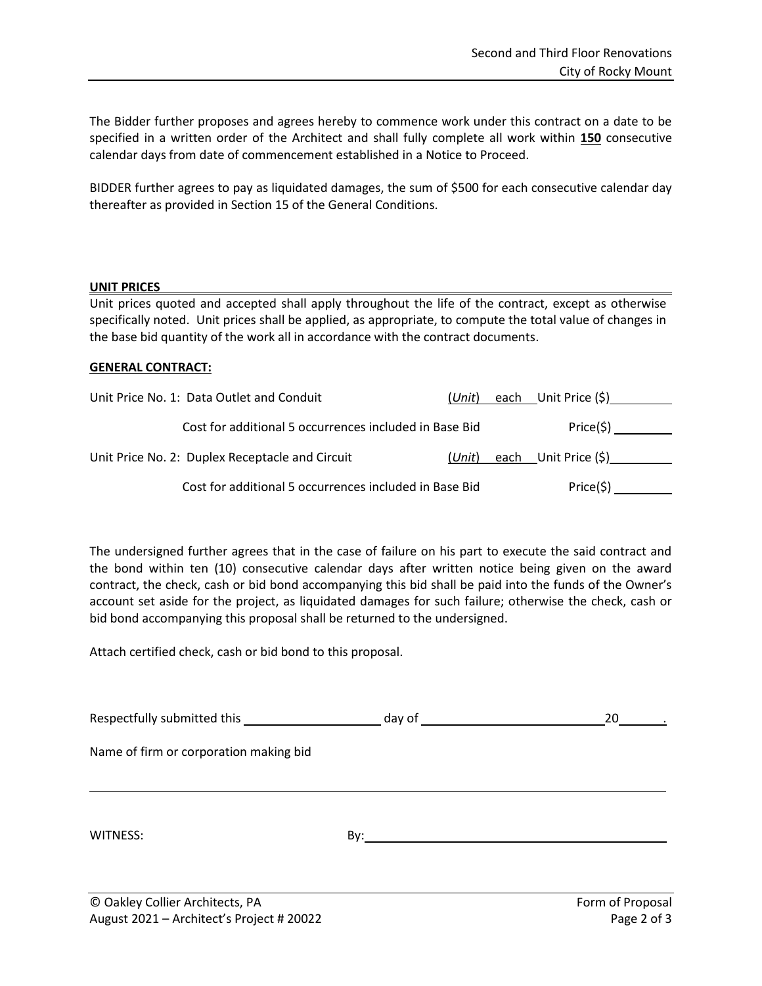The Bidder further proposes and agrees hereby to commence work under this contract on a date to be specified in a written order of the Architect and shall fully complete all work within **150** consecutive calendar days from date of commencement established in a Notice to Proceed.

BIDDER further agrees to pay as liquidated damages, the sum of \$500 for each consecutive calendar day thereafter as provided in Section 15 of the General Conditions.

## **UNIT PRICES**

Unit prices quoted and accepted shall apply throughout the life of the contract, except as otherwise specifically noted. Unit prices shall be applied, as appropriate, to compute the total value of changes in the base bid quantity of the work all in accordance with the contract documents.

## **GENERAL CONTRACT:**

| Unit Price No. 1: Data Outlet and Conduit              | $(U$ nit $)$ | each Unit Price (\$) |  |
|--------------------------------------------------------|--------------|----------------------|--|
| Cost for additional 5 occurrences included in Base Bid |              | Price(5)             |  |
| Unit Price No. 2: Duplex Receptacle and Circuit        | (Unit)       | each Unit Price (\$) |  |
| Cost for additional 5 occurrences included in Base Bid |              | Price(\$)            |  |

The undersigned further agrees that in the case of failure on his part to execute the said contract and the bond within ten (10) consecutive calendar days after written notice being given on the award contract, the check, cash or bid bond accompanying this bid shall be paid into the funds of the Owner's account set aside for the project, as liquidated damages for such failure; otherwise the check, cash or bid bond accompanying this proposal shall be returned to the undersigned.

Attach certified check, cash or bid bond to this proposal.

|                                        | $\Box$ day of $\Box$ | 20 |
|----------------------------------------|----------------------|----|
| Name of firm or corporation making bid |                      |    |
|                                        |                      |    |
|                                        |                      |    |
| WITNESS:                               | By:                  |    |
|                                        |                      |    |
|                                        |                      |    |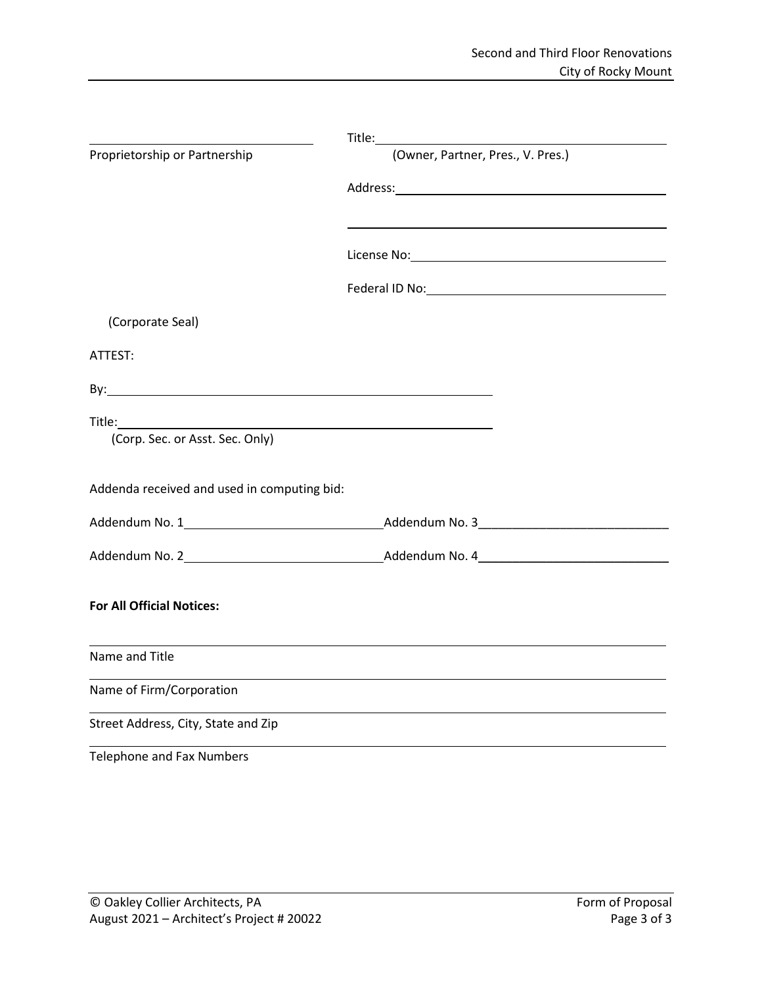| Proprietorship or Partnership                                                                                                                                                                                                       | (Owner, Partner, Pres., V. Pres.) |
|-------------------------------------------------------------------------------------------------------------------------------------------------------------------------------------------------------------------------------------|-----------------------------------|
|                                                                                                                                                                                                                                     |                                   |
|                                                                                                                                                                                                                                     |                                   |
|                                                                                                                                                                                                                                     |                                   |
|                                                                                                                                                                                                                                     |                                   |
|                                                                                                                                                                                                                                     |                                   |
| (Corporate Seal)                                                                                                                                                                                                                    |                                   |
| ATTEST:                                                                                                                                                                                                                             |                                   |
| By: <b>Example 2008</b> Service Contract Contract Contract Contract Contract Contract Contract Contract Contract Contract Contract Contract Contract Contract Contract Contract Contract Contract Contract Contract Contract Contra |                                   |
|                                                                                                                                                                                                                                     |                                   |
| (Corp. Sec. or Asst. Sec. Only)                                                                                                                                                                                                     |                                   |
|                                                                                                                                                                                                                                     |                                   |
| Addenda received and used in computing bid:                                                                                                                                                                                         |                                   |
|                                                                                                                                                                                                                                     |                                   |
|                                                                                                                                                                                                                                     |                                   |
|                                                                                                                                                                                                                                     |                                   |
| <b>For All Official Notices:</b>                                                                                                                                                                                                    |                                   |
|                                                                                                                                                                                                                                     |                                   |
| Name and Title                                                                                                                                                                                                                      |                                   |
| Name of Firm/Corporation                                                                                                                                                                                                            |                                   |
| Street Address, City, State and Zip                                                                                                                                                                                                 |                                   |
| <b>Telephone and Fax Numbers</b>                                                                                                                                                                                                    |                                   |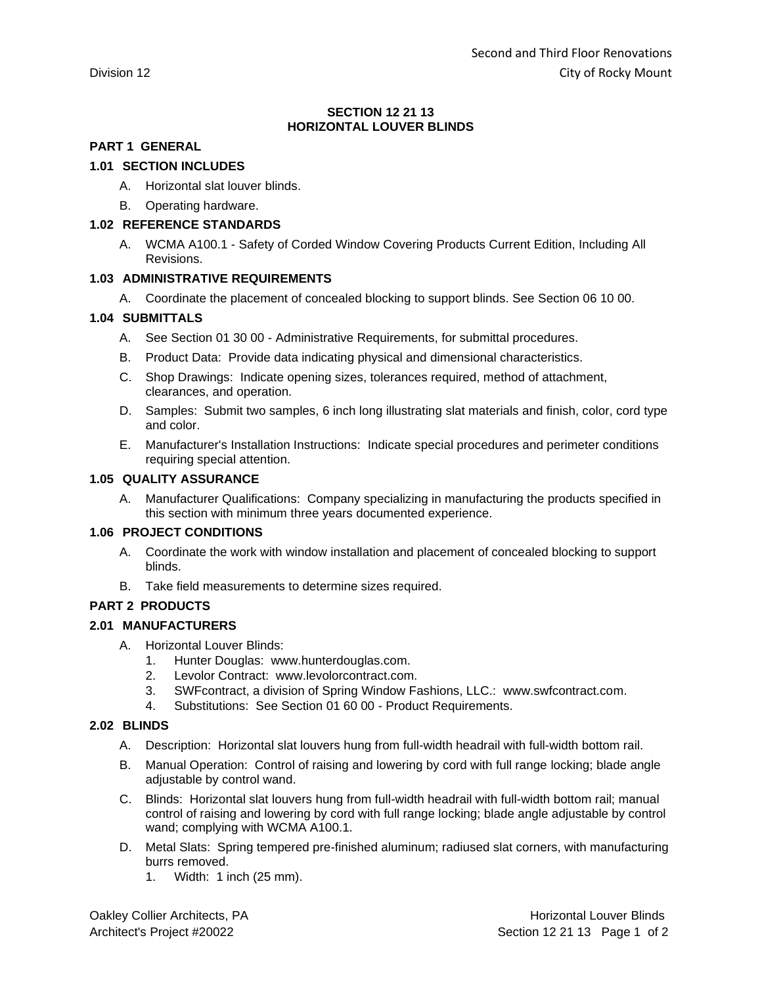### **SECTION 12 21 13 HORIZONTAL LOUVER BLINDS**

## **PART 1 GENERAL**

## **1.01 SECTION INCLUDES**

- A. Horizontal slat louver blinds.
- B. Operating hardware.

### **1.02 REFERENCE STANDARDS**

A. WCMA A100.1 - Safety of Corded Window Covering Products Current Edition, Including All Revisions.

## **1.03 ADMINISTRATIVE REQUIREMENTS**

A. Coordinate the placement of concealed blocking to support blinds. See Section 06 10 00.

## **1.04 SUBMITTALS**

- A. See Section 01 30 00 Administrative Requirements, for submittal procedures.
- B. Product Data: Provide data indicating physical and dimensional characteristics.
- C. Shop Drawings: Indicate opening sizes, tolerances required, method of attachment, clearances, and operation.
- D. Samples: Submit two samples, 6 inch long illustrating slat materials and finish, color, cord type and color.
- E. Manufacturer's Installation Instructions: Indicate special procedures and perimeter conditions requiring special attention.

## **1.05 QUALITY ASSURANCE**

A. Manufacturer Qualifications: Company specializing in manufacturing the products specified in this section with minimum three years documented experience.

### **1.06 PROJECT CONDITIONS**

- A. Coordinate the work with window installation and placement of concealed blocking to support blinds.
- B. Take field measurements to determine sizes required.

## **PART 2 PRODUCTS**

### **2.01 MANUFACTURERS**

- A. Horizontal Louver Blinds:
	- 1. Hunter Douglas: www.hunterdouglas.com.
	- 2. Levolor Contract: www.levolorcontract.com.
	- 3. SWFcontract, a division of Spring Window Fashions, LLC.: www.swfcontract.com.
	- 4. Substitutions: See Section 01 60 00 Product Requirements.

### **2.02 BLINDS**

- A. Description: Horizontal slat louvers hung from full-width headrail with full-width bottom rail.
- B. Manual Operation: Control of raising and lowering by cord with full range locking; blade angle adjustable by control wand.
- C. Blinds: Horizontal slat louvers hung from full-width headrail with full-width bottom rail; manual control of raising and lowering by cord with full range locking; blade angle adjustable by control wand; complying with WCMA A100.1.
- D. Metal Slats: Spring tempered pre-finished aluminum; radiused slat corners, with manufacturing burrs removed.
	- 1. Width: 1 inch (25 mm).